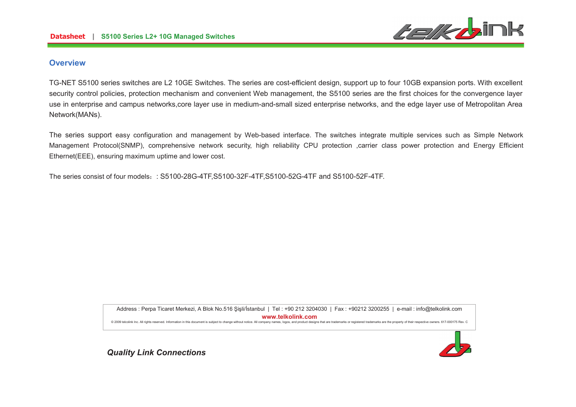

### **Overview**

TG-NET S5100 series switches are L2 10GE Switches. The series are cost-efficient design, support up to four 10GB expansion ports. With excellent security control policies, protection mechanism and convenient Web management, the S5100 series are the first choices for the convergence layer use in enterprise and campus networks,core layer use in medium-and-small sized enterprise networks, and the edge layer use of Metropolitan Area Network(MANs).

The series support easy configuration and management by Web-based interface. The switches integrate multiple services such as Simple Network Management Protocol(SNMP), comprehensive network security, high reliability CPU protection ,carrier class power protection and Energy Efficient Ethernet(EEE), ensuring maximum uptime and lower cost.

The series consist of four models : S5100-28G-4TF,S5100-32F-4TF,S5100-52G-4TF and S5100-52F-4TF.

Address : Perpa Ticaret Merkezi, A Blok No.516 Şişli/İstanbul | Tel : +90 212 3204030 | Fax : +90212 3200255 | e-mail : info@telkolink.com  $www.telkolink.com$ @ 2009 telcolink Inc. All rights reserved. Information in this document is subiect to change without notice. All company names, logos, and product designs that are trademarks or registered trademarks are the property of th

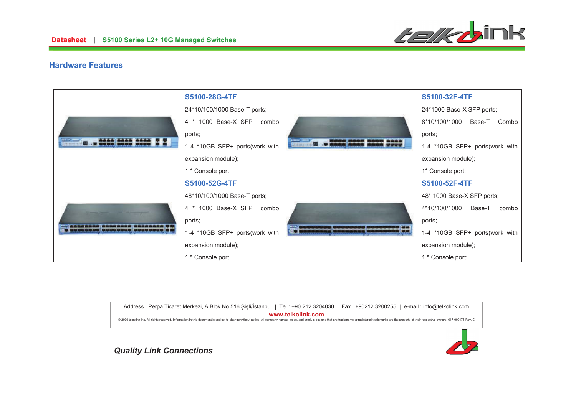

### **Hardware Features**

|  | S5100-28G-4TF                  |                                            | S5100-32F-4TF                    |
|--|--------------------------------|--------------------------------------------|----------------------------------|
|  | 24*10/100/1000 Base-T ports;   | ---                                        | 24*1000 Base-X SFP ports;        |
|  | 4 * 1000 Base-X SFP<br>combo   |                                            | 8*10/100/1000<br>Base-T<br>Combo |
|  | ports;                         |                                            | ports;                           |
|  | 1-4 *10GB SFP+ ports(work with |                                            | 1-4 *10GB SFP+ ports(work with   |
|  | expansion module);             |                                            | expansion module);               |
|  | 1 * Console port;              |                                            | 1* Console port;                 |
|  | S5100-52G-4TF                  | NAME AND DESCRIPTIONS OF PERSONS ASSESSED. | S5100-52F-4TF                    |
|  | 48*10/100/1000 Base-T ports;   |                                            | 48* 1000 Base-X SFP ports;       |
|  | 4 * 1000 Base-X SFP combo      |                                            | 4*10/100/1000<br>Base-T<br>combo |
|  | ports;                         |                                            | ports;                           |
|  | 1-4 *10GB SFP+ ports(work with |                                            | 1-4 *10GB SFP+ ports(work with   |
|  | expansion module);             |                                            | expansion module);               |
|  | 1 * Console port;              |                                            | 1 * Console port;                |

Address : Perpa Ticaret Merkezi, A Blok No.516 Şişli/İstanbul | Tel : +90 212 3204030 | Fax : +90212 3200255 | e-mail : info@telkolink.com  $www.telkolink.com$ @ 2009 telcolink Inc. All rights reserved. Information in this document is subject to change without notice. All company names, logos, and product designs that are trademarks or registered trademarks are the property of th

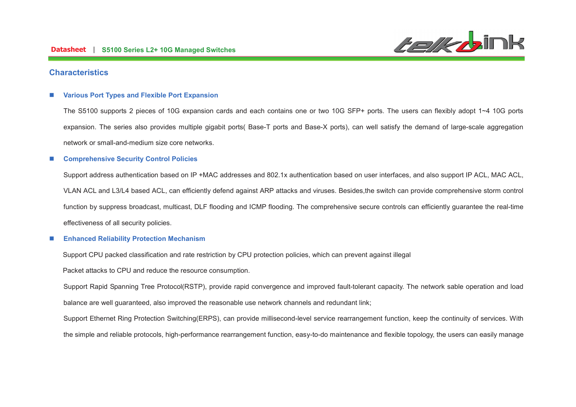

### **Characteristics**

#### n**Various Port Types and Flexible Port Expansion**

The S5100 supports 2 pieces of 10G expansion cards and each contains one or two 10G SFP+ ports. The users can flexibly adopt 1~4 10G ports expansion. The series also provides multiple gigabit ports( Base-T ports and Base-X ports), can well satisfy the demand of large-scale aggregation network or small-and-medium size core networks.

#### n**Comprehensive Security Control Policies**

Support address authentication based on IP +MAC addresses and 802.1x authentication based on user interfaces, and also support IP ACL, MAC ACL, VLAN ACL and L3/L4 based ACL, can efficiently defend against ARP attacks and viruses. Besides,the switch can provide comprehensive storm control function by suppress broadcast, multicast, DLF flooding and ICMP flooding. The comprehensive secure controls can efficiently guarantee the real-time effectiveness of all security policies.

#### n**Enhanced Reliability Protection Mechanism**

Support CPU packed classification and rate restriction by CPU protection policies, which can prevent against illegal

Packet attacks to CPU and reduce the resource consumption.

Support Rapid Spanning Tree Protocol(RSTP), provide rapid convergence and improved fault-tolerant capacity. The network sable operation and load balance are well guaranteed, also improved the reasonable use network channels and redundant link;

Support Ethernet Ring Protection Switching(ERPS), can provide millisecond-level service rearrangement function, keep the continuity of services. With the simple and reliable protocols, high-performance rearrangement function, easy-to-do maintenance and flexible topology, the users can easily manage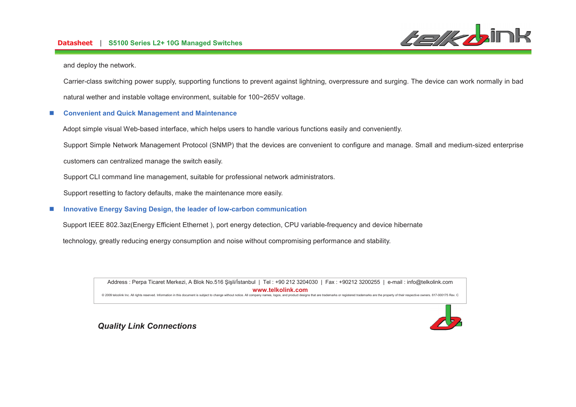# **-- S5100 Series L2+ 10G Managed Switches**



and deploy the network.

Carrier-class switching power supply, supporting functions to prevent against lightning, overpressure and surging. The device can work normally in bad natural wether and instable voltage environment, suitable for 100~265V voltage.

#### n**Convenient and Quick Management and Maintenance**

Adopt simple visual Web-based interface, which helps users to handle various functions easily and conveniently.

Support Simple Network Management Protocol (SNMP) that the devices are convenient to configure and manage. Small and medium-sized enterprise

customers can centralized manage the switch easily.

Support CLI command line management, suitable for professional network administrators.

Support resetting to factory defaults, make the maintenance more easily.

#### n**Innovative Energy Saving Design, the leader of low-carbon communication**

Support IEEE 802.3az(Energy Efficient Ethernet ), port energy detection, CPU variable-frequency and device hibernate

technology, greatly reducing energy consumption and noise without compromising performance and stability.

Address : Perpa Ticaret Merkezi, A Blok No.516 Şişli/İstanbul | Tel : +90 212 3204030 | Fax : +90212 3200255 | e-mail : info@telkolink.com  $www.telkolink.com$ @ 2009 telcolink Inc. All rights reserved. Information in this document is subject to change without notice. All company names, logos, and product designs that are trademarks or registered trademarks are the property of th

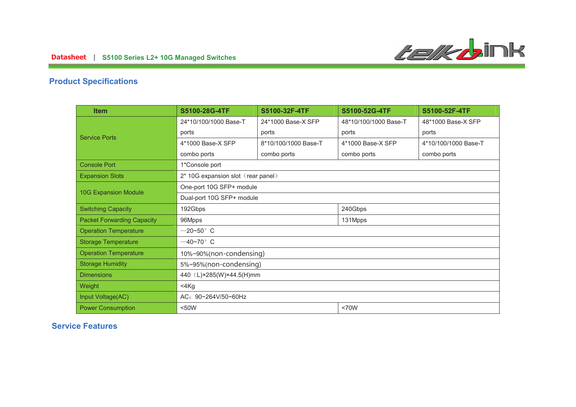

# **Product Specifications**

| <b>Item</b>                       | S5100-28G-4TF                      | S5100-32F-4TF        | S5100-52G-4TF         | S5100-52F-4TF        |
|-----------------------------------|------------------------------------|----------------------|-----------------------|----------------------|
| <b>Service Ports</b>              | 24*10/100/1000 Base-T              | 24*1000 Base-X SFP   | 48*10/100/1000 Base-T | 48*1000 Base-X SFP   |
|                                   | ports                              | ports                | ports                 | ports                |
|                                   | 4*1000 Base-X SFP                  | 8*10/100/1000 Base-T | 4*1000 Base-X SFP     | 4*10/100/1000 Base-T |
|                                   | combo ports                        | combo ports          | combo ports           | combo ports          |
| <b>Console Port</b>               | 1*Console port                     |                      |                       |                      |
| <b>Expansion Slots</b>            | 2* 10G expansion slot (rear panel) |                      |                       |                      |
| <b>10G Expansion Module</b>       | One-port 10G SFP+ module           |                      |                       |                      |
|                                   | Dual-port 10G SFP+ module          |                      |                       |                      |
| <b>Switching Capacity</b>         | 240Gbps<br>192Gbps                 |                      |                       |                      |
| <b>Packet Forwarding Capacity</b> | 96Mpps                             |                      | 131Mpps               |                      |
| <b>Operation Temperature</b>      | $-20 - 50$ °C                      |                      |                       |                      |
| <b>Storage Temperature</b>        | $-40$ ~70 $^{\circ}$ C             |                      |                       |                      |
| <b>Operation Temperature</b>      | 10%~90%(non-condensing)            |                      |                       |                      |
| <b>Storage Humidity</b>           | 5%~95%(non-condensing)             |                      |                       |                      |
| <b>Dimensions</b>                 | 440 (L)×285(W)×44.5(H)mm           |                      |                       |                      |
| Weight                            | $<$ 4 $Kg$                         |                      |                       |                      |
| Input Voltage(AC)                 | AC: 90~264V/50~60Hz                |                      |                       |                      |
| <b>Power Consumption</b>          | $50W$<br><70W                      |                      |                       |                      |

## **Service Features**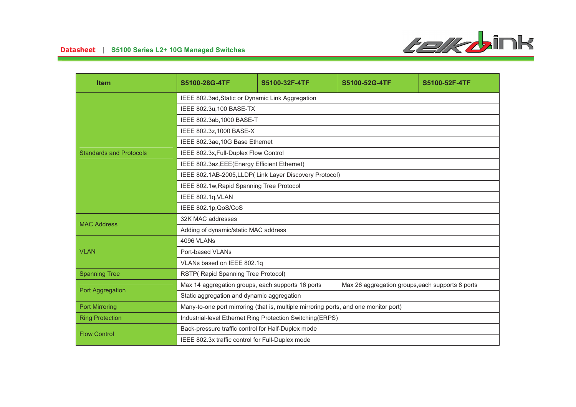

| <b>Item</b>                    | S5100-28G-4TF                                                                        | S5100-32F-4TF | S5100-52G-4TF                                    | S5100-52F-4TF |
|--------------------------------|--------------------------------------------------------------------------------------|---------------|--------------------------------------------------|---------------|
|                                | IEEE 802.3ad, Static or Dynamic Link Aggregation                                     |               |                                                  |               |
| <b>Standards and Protocols</b> | IEEE 802.3u,100 BASE-TX                                                              |               |                                                  |               |
|                                | IEEE 802.3ab, 1000 BASE-T                                                            |               |                                                  |               |
|                                | IEEE 802.3z,1000 BASE-X                                                              |               |                                                  |               |
|                                | IEEE 802.3ae, 10G Base Ethernet                                                      |               |                                                  |               |
|                                | IEEE 802.3x, Full-Duplex Flow Control                                                |               |                                                  |               |
|                                | IEEE 802.3az, EEE(Energy Efficient Ethernet)                                         |               |                                                  |               |
|                                | IEEE 802.1AB-2005, LLDP (Link Layer Discovery Protocol)                              |               |                                                  |               |
|                                | IEEE 802.1w, Rapid Spanning Tree Protocol                                            |               |                                                  |               |
|                                | IEEE 802.1q, VLAN                                                                    |               |                                                  |               |
|                                | IEEE 802.1p, QoS/CoS                                                                 |               |                                                  |               |
| <b>MAC Address</b>             | 32K MAC addresses                                                                    |               |                                                  |               |
|                                | Adding of dynamic/static MAC address                                                 |               |                                                  |               |
| <b>VLAN</b>                    | 4096 VLANs                                                                           |               |                                                  |               |
|                                | Port-based VLANs                                                                     |               |                                                  |               |
|                                | VLANs based on IEEE 802.1q                                                           |               |                                                  |               |
| <b>Spanning Tree</b>           | RSTP(Rapid Spanning Tree Protocol)                                                   |               |                                                  |               |
| Port Aggregation               | Max 14 aggregation groups, each supports 16 ports                                    |               | Max 26 aggregation groups, each supports 8 ports |               |
|                                | Static aggregation and dynamic aggregation                                           |               |                                                  |               |
| <b>Port Mirroring</b>          | Many-to-one port mirroring (that is, multiple mirroring ports, and one monitor port) |               |                                                  |               |
| <b>Ring Protection</b>         | Industrial-level Ethernet Ring Protection Switching(ERPS)                            |               |                                                  |               |
| <b>Flow Control</b>            | Back-pressure traffic control for Half-Duplex mode                                   |               |                                                  |               |
|                                | IEEE 802.3x traffic control for Full-Duplex mode                                     |               |                                                  |               |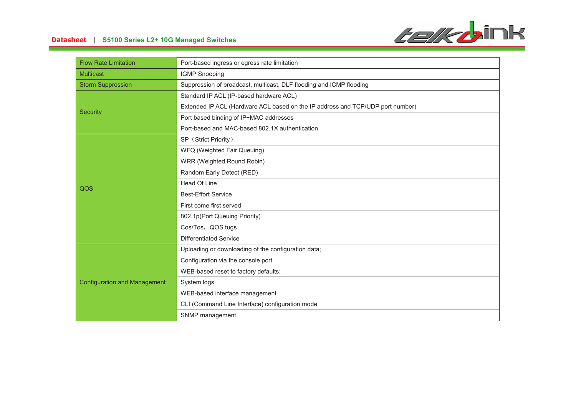

# **-- S5100 Series L2+ 10G Managed Switches**

| <b>Flow Rate Limitation</b>         | Port-based ingress or egress rate limitation                                   |
|-------------------------------------|--------------------------------------------------------------------------------|
| <b>Multicast</b>                    | <b>IGMP Snooping</b>                                                           |
| <b>Storm Suppression</b>            | Suppression of broadcast, multicast, DLF flooding and ICMP flooding            |
|                                     | Standard IP ACL (IP-based hardware ACL)                                        |
|                                     | Extended IP ACL (Hardware ACL based on the IP address and TCP/UDP port number) |
| <b>Security</b>                     | Port based binding of IP+MAC addresses                                         |
|                                     | Port-based and MAC-based 802.1X authentication                                 |
|                                     | SP (Strict Priority)                                                           |
|                                     | WFQ (Weighted Fair Queuing)                                                    |
|                                     | WRR (Weighted Round Robin)                                                     |
|                                     | Random Early Detect (RED)                                                      |
| QOS                                 | Head Of Line                                                                   |
|                                     | <b>Best-Effort Service</b>                                                     |
|                                     | First come first served                                                        |
|                                     | 802.1p(Port Queuing Priority)                                                  |
|                                     | Cos/Tos, QOS tugs                                                              |
|                                     | <b>Differentiated Service</b>                                                  |
| <b>Configuration and Management</b> | Uploading or downloading of the configuration data;                            |
|                                     | Configuration via the console port                                             |
|                                     | WEB-based reset to factory defaults;                                           |
|                                     | System logs                                                                    |
|                                     | WEB-based interface management                                                 |
|                                     | CLI (Command Line Interface) configuration mode                                |
|                                     | SNMP management                                                                |